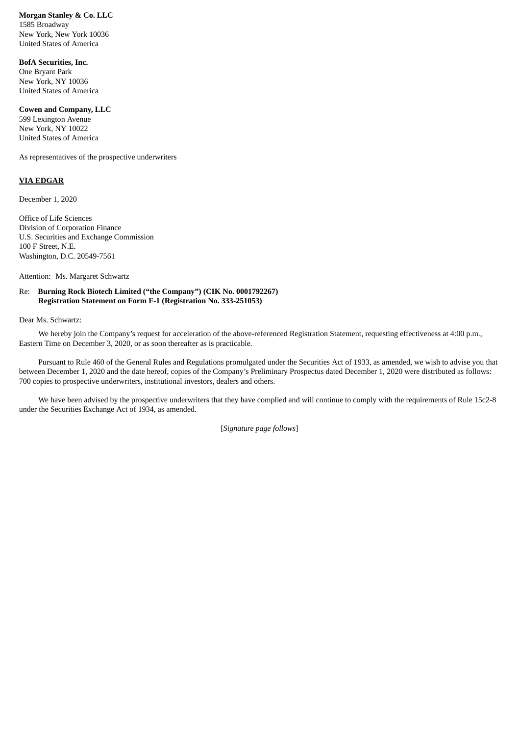**Morgan Stanley & Co. LLC** 1585 Broadway New York, New York 10036 United States of America

**BofA Securities, Inc.** One Bryant Park New York, NY 10036 United States of America

## **Cowen and Company, LLC**

599 Lexington Avenue New York, NY 10022 United States of America

As representatives of the prospective underwriters

## **VIA EDGAR**

December 1, 2020

Office of Life Sciences Division of Corporation Finance U.S. Securities and Exchange Commission 100 F Street, N.E. Washington, D.C. 20549-7561

Attention: Ms. Margaret Schwartz

## Re: **Burning Rock Biotech Limited ("the Company") (CIK No. 0001792267) Registration Statement on Form F-1 (Registration No. 333-251053)**

Dear Ms. Schwartz:

We hereby join the Company's request for acceleration of the above-referenced Registration Statement, requesting effectiveness at 4:00 p.m., Eastern Time on December 3, 2020, or as soon thereafter as is practicable.

Pursuant to Rule 460 of the General Rules and Regulations promulgated under the Securities Act of 1933, as amended, we wish to advise you that between December 1, 2020 and the date hereof, copies of the Company's Preliminary Prospectus dated December 1, 2020 were distributed as follows: 700 copies to prospective underwriters, institutional investors, dealers and others.

We have been advised by the prospective underwriters that they have complied and will continue to comply with the requirements of Rule 15c2-8 under the Securities Exchange Act of 1934, as amended.

[*Signature page follows*]